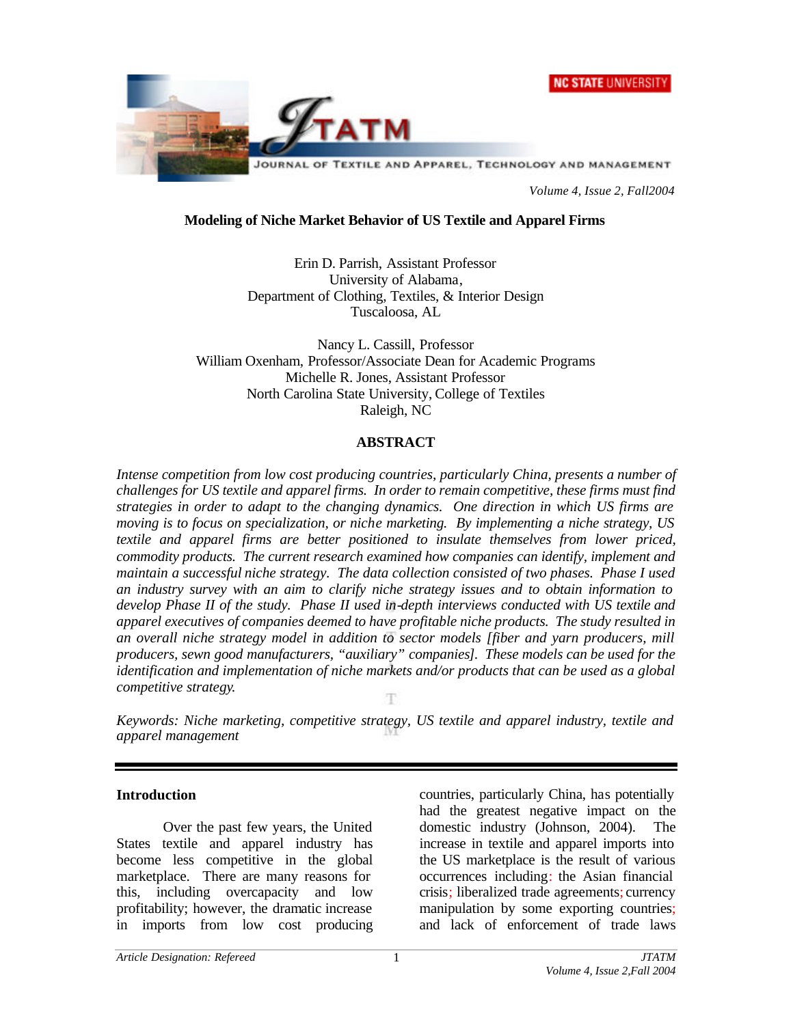



*Volume 4, Issue 2, Fall2004*

### **Modeling of Niche Market Behavior of US Textile and Apparel Firms**

Erin D. Parrish, Assistant Professor University of Alabama, Department of Clothing, Textiles, & Interior Design Tuscaloosa, AL

Nancy L. Cassill, Professor William Oxenham, Professor/Associate Dean for Academic Programs Michelle R. Jones, Assistant Professor North Carolina State University, College of Textiles Raleigh, NC

### **ABSTRACT**

*Intense competition from low cost producing countries, particularly China, presents a number of challenges for US textile and apparel firms. In order to remain competitive, these firms must find strategies in order to adapt to the changing dynamics. One direction in which US firms are moving is to focus on specialization, or niche marketing. By implementing a niche strategy, US textile and apparel firms are better positioned to insulate themselves from lower priced, commodity products. The current research examined how companies can identify, implement and maintain a successful niche strategy. The data collection consisted of two phases. Phase I used an industry survey with an aim to clarify niche strategy issues and to obtain information to develop Phase II of the study. Phase II used in-depth interviews conducted with US textile and apparel executives of companies deemed to have profitable niche products. The study resulted in an overall niche strategy model in addition to sector models [fiber and yarn producers, mill producers, sewn good manufacturers, "auxiliary" companies]. These models can be used for the identification and implementation of niche markets and/or products that can be used as a global competitive strategy.*

*Keywords: Niche marketing, competitive strategy, US textile and apparel industry, textile and apparel management*

### **Introduction**

Over the past few years, the United States textile and apparel industry has become less competitive in the global marketplace. There are many reasons for this, including overcapacity and low profitability; however, the dramatic increase in imports from low cost producing countries, particularly China, has potentially had the greatest negative impact on the domestic industry (Johnson, 2004). The increase in textile and apparel imports into the US marketplace is the result of various occurrences including: the Asian financial crisis; liberalized trade agreements; currency manipulation by some exporting countries; and lack of enforcement of trade laws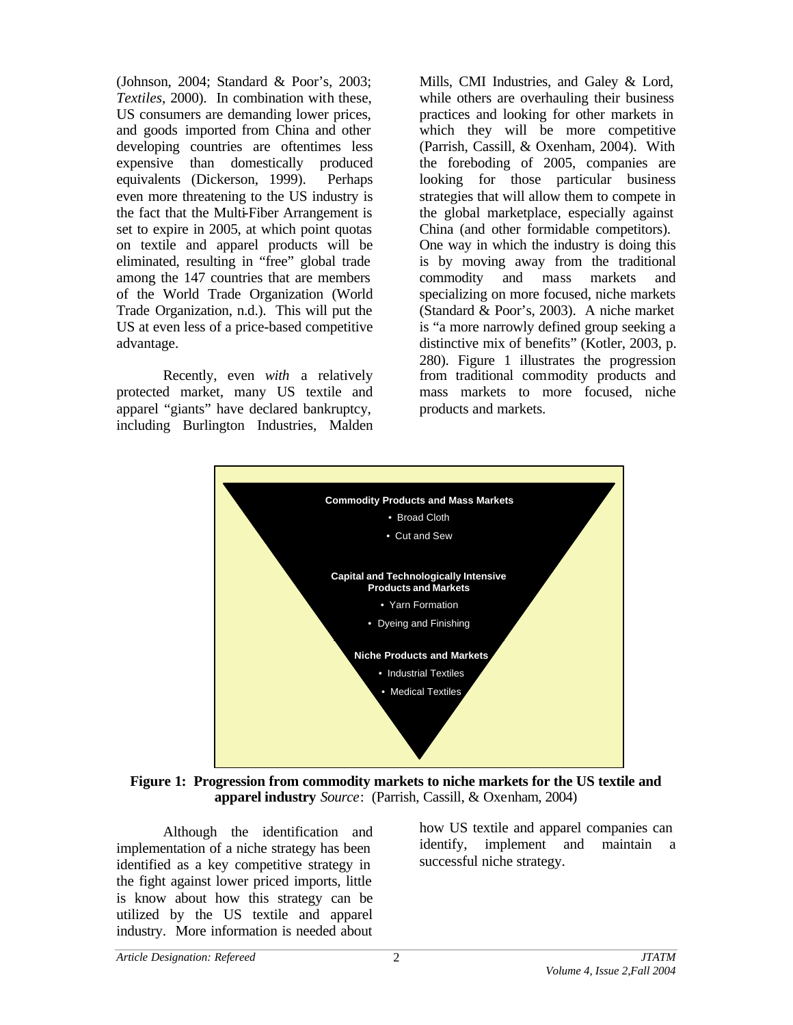(Johnson, 2004; Standard & Poor's, 2003; *Textiles*, 2000). In combination with these, US consumers are demanding lower prices, and goods imported from China and other developing countries are oftentimes less expensive than domestically produced equivalents (Dickerson, 1999). Perhaps even more threatening to the US industry is the fact that the Multi-Fiber Arrangement is set to expire in 2005, at which point quotas on textile and apparel products will be eliminated, resulting in "free" global trade among the 147 countries that are members of the World Trade Organization (World Trade Organization, n.d.). This will put the US at even less of a price-based competitive advantage.

Recently, even *with* a relatively protected market, many US textile and apparel "giants" have declared bankruptcy, including Burlington Industries, Malden Mills, CMI Industries, and Galey & Lord, while others are overhauling their business practices and looking for other markets in which they will be more competitive (Parrish, Cassill, & Oxenham, 2004). With the foreboding of 2005, companies are looking for those particular business strategies that will allow them to compete in the global marketplace, especially against China (and other formidable competitors). One way in which the industry is doing this is by moving away from the traditional commodity and mass markets and specializing on more focused, niche markets (Standard & Poor's, 2003). A niche market is "a more narrowly defined group seeking a distinctive mix of benefits" (Kotler, 2003, p. 280). Figure 1 illustrates the progression from traditional commodity products and mass markets to more focused, niche products and markets.



**Figure 1: Progression from commodity markets to niche markets for the US textile and apparel industry** *Source*: (Parrish, Cassill, & Oxenham, 2004)

Although the identification and implementation of a niche strategy has been identified as a key competitive strategy in the fight against lower priced imports, little is know about how this strategy can be utilized by the US textile and apparel industry. More information is needed about

how US textile and apparel companies can identify, implement and maintain a successful niche strategy.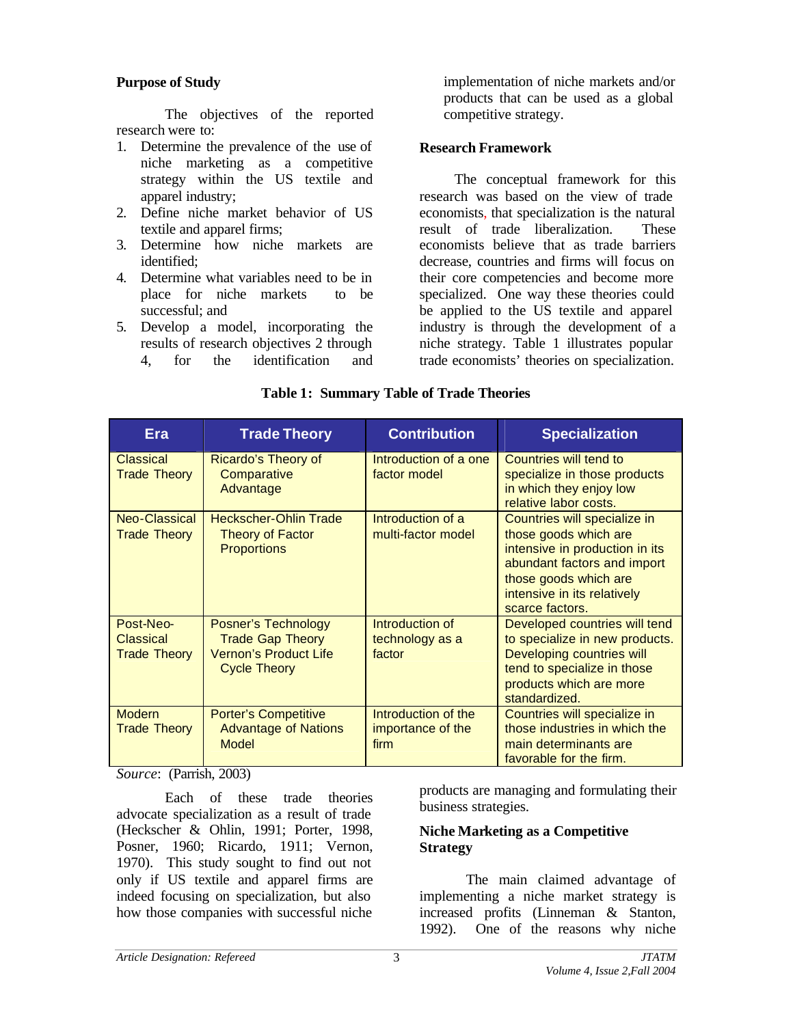## **Purpose of Study**

The objectives of the reported research were to:

- 1. Determine the prevalence of the use of niche marketing as a competitive strategy within the US textile and apparel industry;
- 2. Define niche market behavior of US textile and apparel firms;
- 3. Determine how niche markets are identified;
- 4. Determine what variables need to be in place for niche markets to be successful; and
- 5. Develop a model, incorporating the results of research objectives 2 through 4, for the identification and

implementation of niche markets and/or products that can be used as a global competitive strategy.

### **Research Framework**

The conceptual framework for this research was based on the view of trade economists, that specialization is the natural result of trade liberalization. These economists believe that as trade barriers decrease, countries and firms will focus on their core competencies and become more specialized. One way these theories could be applied to the US textile and apparel industry is through the development of a niche strategy. Table 1 illustrates popular trade economists' theories on specialization.

| Era                                                  | <b>Trade Theory</b>                                                                                          | <b>Contribution</b>                              | <b>Specialization</b>                                                                                                                                                                             |
|------------------------------------------------------|--------------------------------------------------------------------------------------------------------------|--------------------------------------------------|---------------------------------------------------------------------------------------------------------------------------------------------------------------------------------------------------|
| <b>Classical</b><br><b>Trade Theory</b>              | Ricardo's Theory of<br>Comparative<br>Advantage                                                              | Introduction of a one<br>factor model            | <b>Countries will tend to</b><br>specialize in those products<br>in which they enjoy low<br>relative labor costs.                                                                                 |
| Neo-Classical<br><b>Trade Theory</b>                 | <b>Heckscher-Ohlin Trade</b><br>Theory of Factor<br><b>Proportions</b>                                       | Introduction of a<br>multi-factor model          | Countries will specialize in<br>those goods which are<br>intensive in production in its<br>abundant factors and import<br>those goods which are<br>intensive in its relatively<br>scarce factors. |
| Post-Neo-<br><b>Classical</b><br><b>Trade Theory</b> | <b>Posner's Technology</b><br><b>Trade Gap Theory</b><br><b>Vernon's Product Life</b><br><b>Cycle Theory</b> | Introduction of<br>technology as a<br>factor     | Developed countries will tend<br>to specialize in new products.<br>Developing countries will<br>tend to specialize in those<br>products which are more<br>standardized.                           |
| <b>Modern</b><br><b>Trade Theory</b>                 | <b>Porter's Competitive</b><br><b>Advantage of Nations</b><br>Model                                          | Introduction of the<br>importance of the<br>firm | Countries will specialize in<br>those industries in which the<br>main determinants are<br>favorable for the firm.                                                                                 |

# **Table 1: Summary Table of Trade Theories**

*Source*: (Parrish, 2003)

Each of these trade theories advocate specialization as a result of trade (Heckscher & Ohlin, 1991; Porter, 1998, Posner, 1960; Ricardo, 1911; Vernon, 1970). This study sought to find out not only if US textile and apparel firms are indeed focusing on specialization, but also how those companies with successful niche

products are managing and formulating their business strategies.

## **Niche Marketing as a Competitive Strategy**

The main claimed advantage of implementing a niche market strategy is increased profits (Linneman & Stanton, 1992). One of the reasons why niche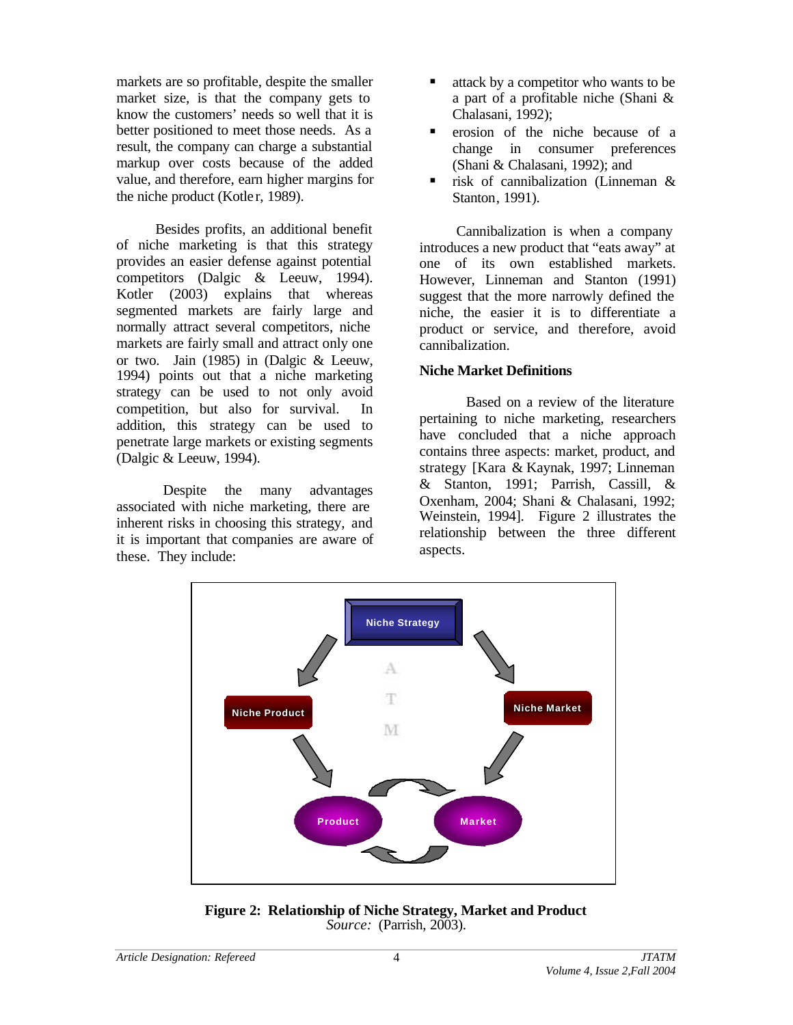markets are so profitable, despite the smaller market size, is that the company gets to know the customers' needs so well that it is better positioned to meet those needs. As a result, the company can charge a substantial markup over costs because of the added value, and therefore, earn higher margins for the niche product (Kotler, 1989).

Besides profits, an additional benefit of niche marketing is that this strategy provides an easier defense against potential competitors (Dalgic & Leeuw, 1994). Kotler (2003) explains that whereas segmented markets are fairly large and normally attract several competitors, niche markets are fairly small and attract only one or two. Jain (1985) in (Dalgic & Leeuw, 1994) points out that a niche marketing strategy can be used to not only avoid competition, but also for survival. In addition, this strategy can be used to penetrate large markets or existing segments (Dalgic & Leeuw, 1994).

Despite the many advantages associated with niche marketing, there are inherent risks in choosing this strategy, and it is important that companies are aware of these. They include:

- $\blacksquare$  attack by a competitor who wants to be a part of a profitable niche (Shani & Chalasani, 1992);
- ß erosion of the niche because of a change in consumer preferences (Shani & Chalasani, 1992); and
- $\blacksquare$  risk of cannibalization (Linneman & Stanton, 1991).

Cannibalization is when a company introduces a new product that "eats away" at one of its own established markets. However, Linneman and Stanton (1991) suggest that the more narrowly defined the niche, the easier it is to differentiate a product or service, and therefore, avoid cannibalization.

## **Niche Market Definitions**

Based on a review of the literature pertaining to niche marketing, researchers have concluded that a niche approach contains three aspects: market, product, and strategy [Kara & Kaynak, 1997; Linneman & Stanton, 1991; Parrish, Cassill, & Oxenham, 2004; Shani & Chalasani, 1992; Weinstein, 1994]. Figure 2 illustrates the relationship between the three different aspects.



**Figure 2: Relationship of Niche Strategy, Market and Product** *Source:* (Parrish, 2003).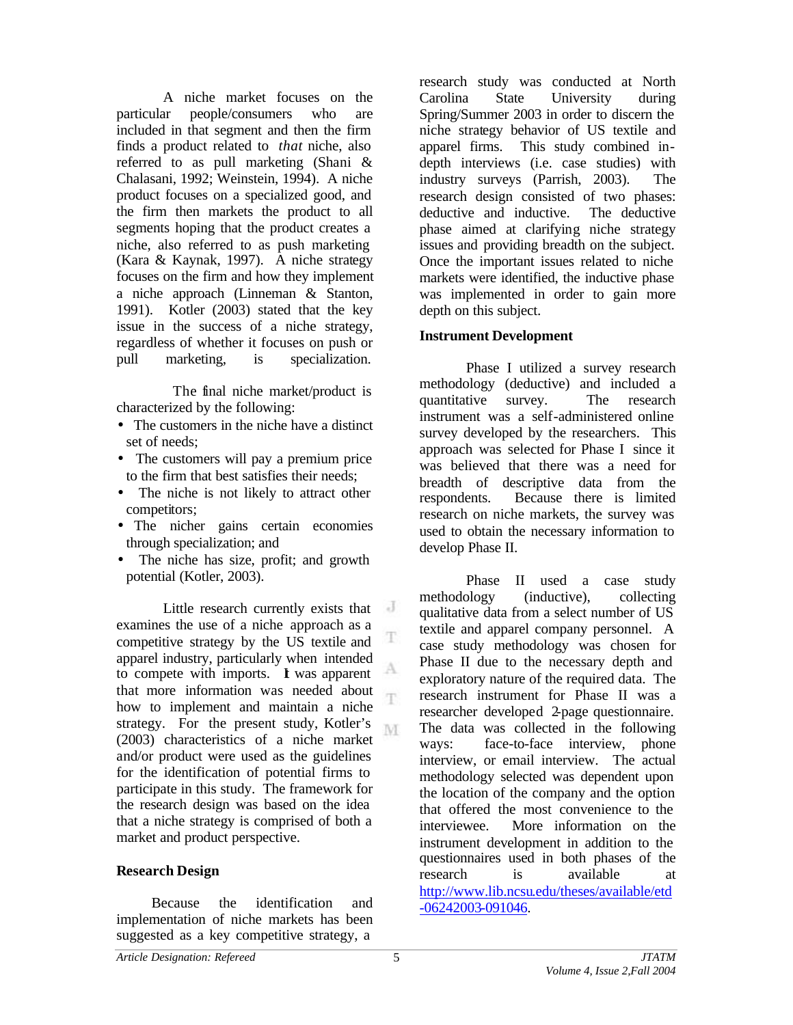A niche market focuses on the particular people/consumers who are included in that segment and then the firm finds a product related to *that* niche, also referred to as pull marketing (Shani & Chalasani, 1992; Weinstein, 1994). A niche product focuses on a specialized good, and the firm then markets the product to all segments hoping that the product creates a niche, also referred to as push marketing (Kara & Kaynak, 1997). A niche strategy focuses on the firm and how they implement a niche approach (Linneman & Stanton, 1991). Kotler (2003) stated that the key issue in the success of a niche strategy, regardless of whether it focuses on push or pull marketing, is specialization.

 The final niche market/product is characterized by the following:

- The customers in the niche have a distinct set of needs;
- The customers will pay a premium price to the firm that best satisfies their needs;
- The niche is not likely to attract other competitors;
- The nicher gains certain economies through specialization; and
- The niche has size, profit; and growth potential (Kotler, 2003).

 $\overline{d}$ Little research currently exists that examines the use of a niche approach as a competitive strategy by the US textile and apparel industry, particularly when intended to compete with imports. I was apparent that more information was needed about how to implement and maintain a niche strategy. For the present study, Kotler's M. (2003) characteristics of a niche market and/or product were used as the guidelines for the identification of potential firms to participate in this study. The framework for the research design was based on the idea that a niche strategy is comprised of both a market and product perspective.

## **Research Design**

Because the identification and implementation of niche markets has been suggested as a key competitive strategy, a

research study was conducted at North Carolina State University during Spring/Summer 2003 in order to discern the niche strategy behavior of US textile and apparel firms. This study combined indepth interviews (i.e. case studies) with industry surveys (Parrish, 2003). The research design consisted of two phases: deductive and inductive. The deductive phase aimed at clarifying niche strategy issues and providing breadth on the subject. Once the important issues related to niche markets were identified, the inductive phase was implemented in order to gain more depth on this subject.

### **Instrument Development**

Phase I utilized a survey research methodology (deductive) and included a quantitative survey. The research instrument was a self-administered online survey developed by the researchers. This approach was selected for Phase I since it was believed that there was a need for breadth of descriptive data from the respondents. Because there is limited research on niche markets, the survey was used to obtain the necessary information to develop Phase II.

Phase II used a case study methodology (inductive), collecting qualitative data from a select number of US textile and apparel company personnel. A case study methodology was chosen for Phase II due to the necessary depth and exploratory nature of the required data. The research instrument for Phase II was a researcher developed 2-page questionnaire. The data was collected in the following ways: face-to-face interview, phone interview, or email interview. The actual methodology selected was dependent upon the location of the company and the option that offered the most convenience to the interviewee. More information on the instrument development in addition to the questionnaires used in both phases of the research is available at <http://www.lib.ncsu.edu/theses/available/etd> -06242003-091046.

T.

A.

T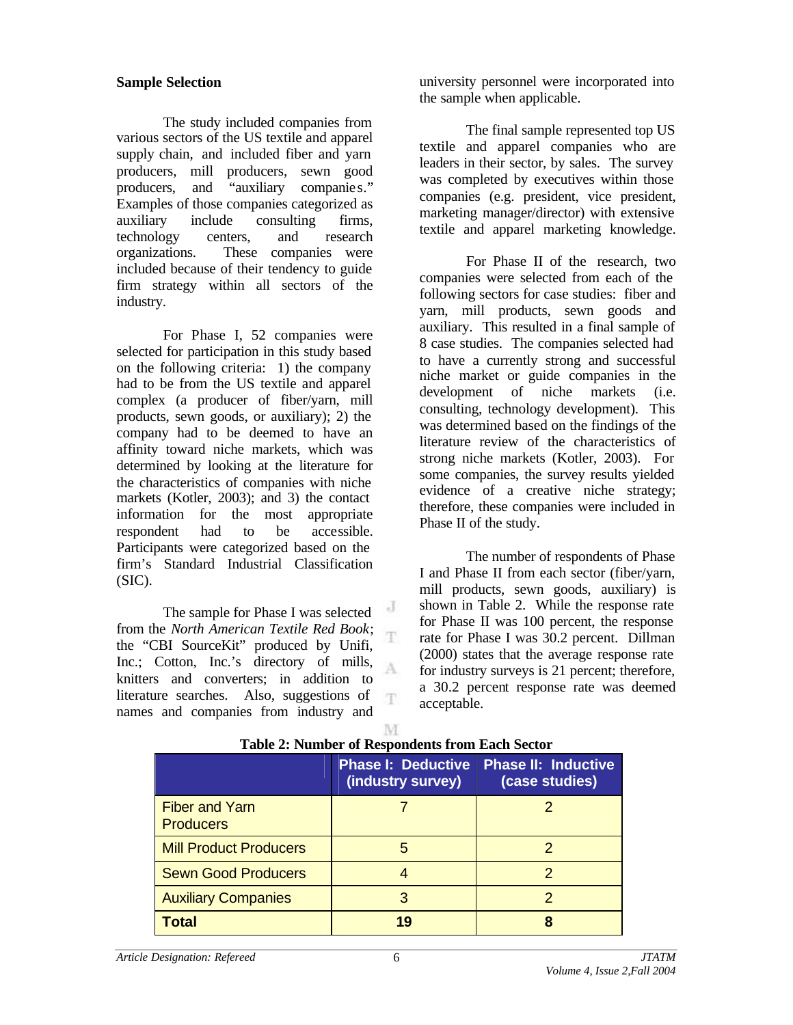#### **Sample Selection**

The study included companies from various sectors of the US textile and apparel supply chain, and included fiber and yarn producers, mill producers, sewn good producers, and "auxiliary companie s." Examples of those companies categorized as auxiliary include consulting firms, technology centers, and research organizations. These companies were included because of their tendency to guide firm strategy within all sectors of the industry.

For Phase I, 52 companies were selected for participation in this study based on the following criteria: 1) the company had to be from the US textile and apparel complex (a producer of fiber/yarn, mill products, sewn goods, or auxiliary); 2) the company had to be deemed to have an affinity toward niche markets, which was determined by looking at the literature for the characteristics of companies with niche markets (Kotler, 2003); and 3) the contact information for the most appropriate respondent had to be accessible. Participants were categorized based on the firm's Standard Industrial Classification  $(SIC)$ .

The sample for Phase I was selected from the *North American Textile Red Book*; the "CBI SourceKit" produced by Unifi, Inc.; Cotton, Inc.'s directory of mills, knitters and converters; in addition to literature searches. Also, suggestions of names and companies from industry and

university personnel were incorporated into the sample when applicable.

The final sample represented top US textile and apparel companies who are leaders in their sector, by sales. The survey was completed by executives within those companies (e.g. president, vice president, marketing manager/director) with extensive textile and apparel marketing knowledge.

For Phase II of the research, two companies were selected from each of the following sectors for case studies: fiber and yarn, mill products, sewn goods and auxiliary. This resulted in a final sample of 8 case studies. The companies selected had to have a currently strong and successful niche market or guide companies in the development of niche markets (i.e. consulting, technology development). This was determined based on the findings of the literature review of the characteristics of strong niche markets (Kotler, 2003). For some companies, the survey results yielded evidence of a creative niche strategy; therefore, these companies were included in Phase II of the study.

The number of respondents of Phase I and Phase II from each sector (fiber/yarn, mill products, sewn goods, auxiliary) is shown in Table 2. While the response rate for Phase II was 100 percent, the response rate for Phase I was 30.2 percent. Dillman (2000) states that the average response rate for industry surveys is 21 percent; therefore, a 30.2 percent response rate was deemed acceptable.

| Table 2. Fulliber of Respondents from Each Sector |                                                |                                              |  |  |  |  |
|---------------------------------------------------|------------------------------------------------|----------------------------------------------|--|--|--|--|
|                                                   | <b>Phase I: Deductive</b><br>(industry survey) | <b>Phase II: Inductive</b><br>(case studies) |  |  |  |  |
| <b>Fiber and Yarn</b><br><b>Producers</b>         |                                                |                                              |  |  |  |  |
| <b>Mill Product Producers</b>                     | 5                                              |                                              |  |  |  |  |
| <b>Sewn Good Producers</b>                        |                                                |                                              |  |  |  |  |
| <b>Auxiliary Companies</b>                        | 3                                              |                                              |  |  |  |  |
| <b>Total</b>                                      | 19                                             | 8                                            |  |  |  |  |

| <b>Table 2: Number of Respondents from Each Sector</b> |  |  |
|--------------------------------------------------------|--|--|

J

T

A

T.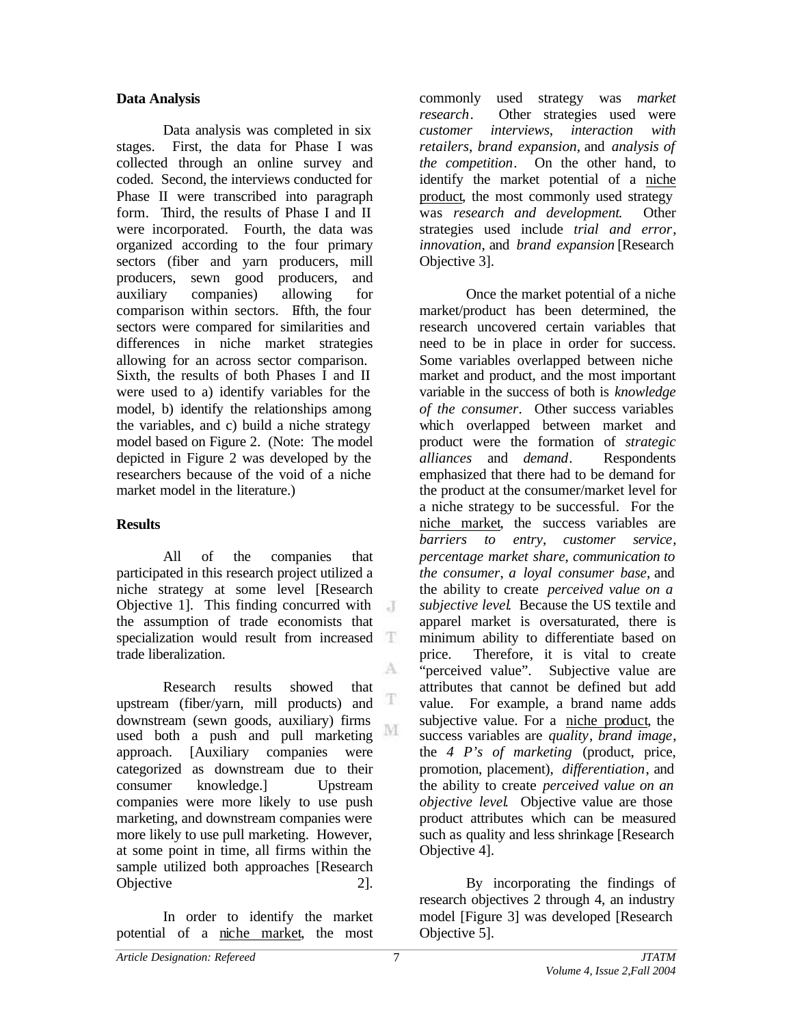# **Data Analysis**

Data analysis was completed in six stages. First, the data for Phase I was collected through an online survey and coded. Second, the interviews conducted for Phase II were transcribed into paragraph form. Third, the results of Phase I and II were incorporated. Fourth, the data was organized according to the four primary sectors (fiber and yarn producers, mill producers, sewn good producers, and auxiliary companies) allowing for comparison within sectors. Fifth, the four sectors were compared for similarities and differences in niche market strategies allowing for an across sector comparison. Sixth, the results of both Phases I and II were used to a) identify variables for the model, b) identify the relationships among the variables, and c) build a niche strategy model based on Figure 2. (Note: The model depicted in Figure 2 was developed by the researchers because of the void of a niche market model in the literature.)

# **Results**

All of the companies that participated in this research project utilized a niche strategy at some level [Research Objective 1]. This finding concurred with  $\overline{A}$ the assumption of trade economists that specialization would result from increased trade liberalization. A

Research results showed that T upstream (fiber/yarn, mill products) and downstream (sewn goods, auxiliary) firms M used both a push and pull marketing approach. [Auxiliary companies were categorized as downstream due to their consumer knowledge.] Upstream companies were more likely to use push marketing, and downstream companies were more likely to use pull marketing. However, at some point in time, all firms within the sample utilized both approaches [Research Objective 2].

In order to identify the market potential of a niche market, the most

commonly used strategy was *market research*. Other strategies used were *customer interviews*, *interaction with retailers*, *brand expansion*, and *analysis of the competition*. On the other hand, to identify the market potential of a niche product, the most commonly used strategy was *research and development*. Other strategies used include *trial and error*, *innovation*, and *brand expansion* [Research Objective 3].

Once the market potential of a niche market/product has been determined, the research uncovered certain variables that need to be in place in order for success. Some variables overlapped between niche market and product, and the most important variable in the success of both is *knowledge of the consumer*. Other success variables which overlapped between market and product were the formation of *strategic alliances* and *demand*. Respondents emphasized that there had to be demand for the product at the consumer/market level for a niche strategy to be successful. For the niche market, the success variables are *barriers to entry*, *customer service*, *percentage market share*, *communication to the consumer*, *a loyal consumer base*, and the ability to create *perceived value on a subjective level*. Because the US textile and apparel market is oversaturated, there is minimum ability to differentiate based on price. Therefore, it is vital to create "perceived value". Subjective value are attributes that cannot be defined but add value. For example, a brand name adds subjective value. For a niche product, the success variables are *quality*, *brand image*, the *4 P's of marketing* (product, price, promotion, placement), *differentiation*, and the ability to create *perceived value on an objective level*. Objective value are those product attributes which can be measured such as quality and less shrinkage [Research Objective 4].

By incorporating the findings of research objectives 2 through 4, an industry model [Figure 3] was developed [Research Objective 5].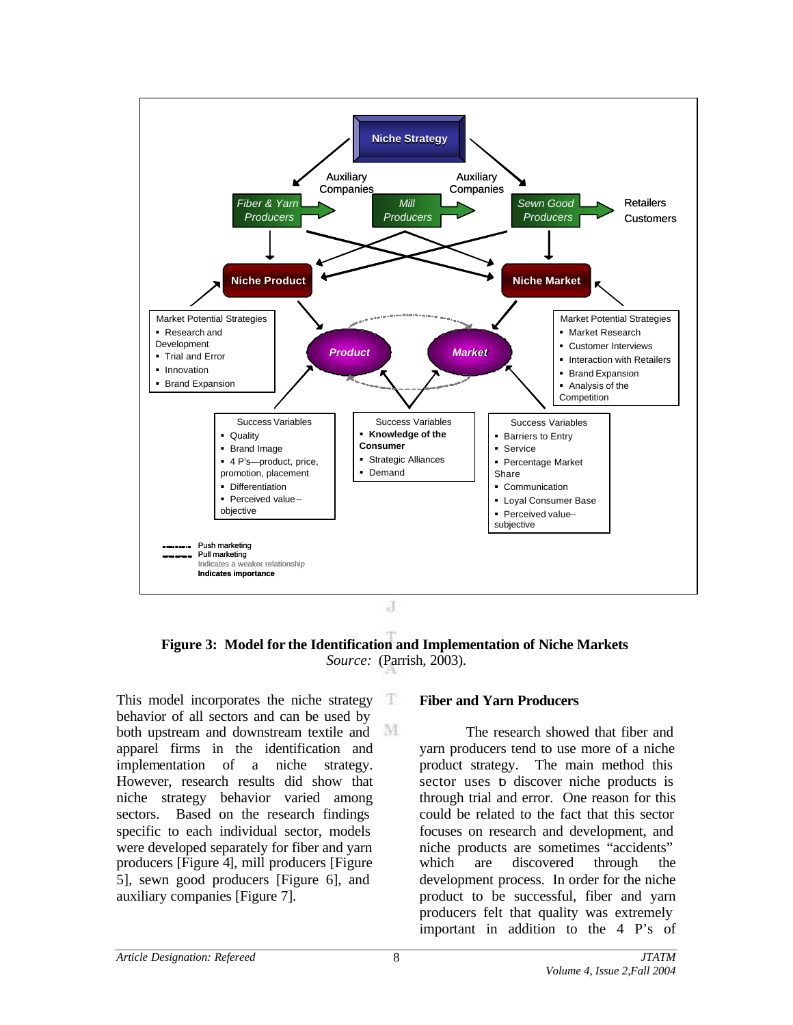

**Figure 3: Model for the Identification and Implementation of Niche Markets** *Source:* (Parrish, 2003).

This model incorporates the niche strategy  $\Box$ behavior of all sectors and can be used by both upstream and downstream textile and apparel firms in the identification and implementation of a niche strategy. However, research results did show that niche strategy behavior varied among sectors. Based on the research findings specific to each individual sector, models were developed separately for fiber and yarn producers [Figure 4], mill producers [Figure 5], sewn good producers [Figure 6], and auxiliary companies [Figure 7].

### **Fiber and Yarn Producers**

The research showed that fiber and yarn producers tend to use more of a niche product strategy. The main method this sector uses to discover niche products is through trial and error. One reason for this could be related to the fact that this sector focuses on research and development, and niche products are sometimes "accidents" which are discovered through the development process. In order for the niche product to be successful, fiber and yarn producers felt that quality was extremely important in addition to the 4 P's of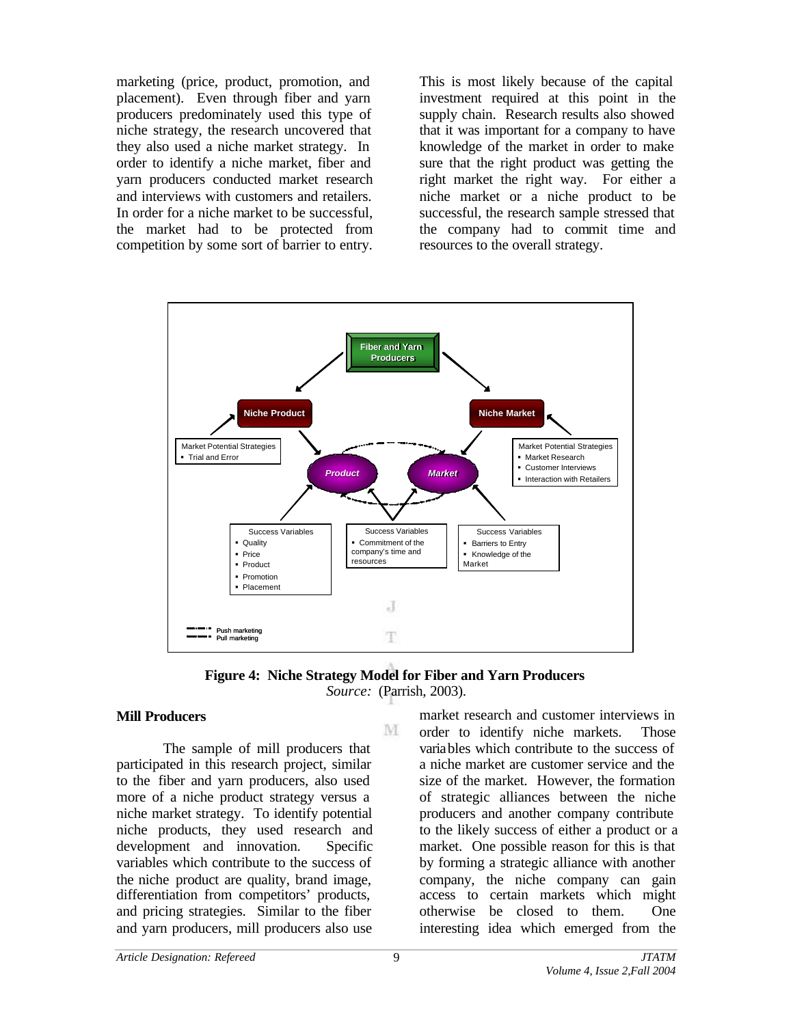marketing (price, product, promotion, and placement). Even through fiber and yarn producers predominately used this type of niche strategy, the research uncovered that they also used a niche market strategy. In order to identify a niche market, fiber and yarn producers conducted market research and interviews with customers and retailers. In order for a niche market to be successful, the market had to be protected from competition by some sort of barrier to entry.

This is most likely because of the capital investment required at this point in the supply chain. Research results also showed that it was important for a company to have knowledge of the market in order to make sure that the right product was getting the right market the right way. For either a niche market or a niche product to be successful, the research sample stressed that the company had to commit time and resources to the overall strategy.



**Figure 4: Niche Strategy Model for Fiber and Yarn Producers** *Source:* (Parrish, 2003).

M

### **Mill Producers**

The sample of mill producers that participated in this research project, similar to the fiber and yarn producers, also used more of a niche product strategy versus a niche market strategy. To identify potential niche products, they used research and development and innovation. Specific variables which contribute to the success of the niche product are quality, brand image, differentiation from competitors' products, and pricing strategies. Similar to the fiber and yarn producers, mill producers also use

market research and customer interviews in order to identify niche markets. Those variables which contribute to the success of a niche market are customer service and the size of the market. However, the formation of strategic alliances between the niche producers and another company contribute to the likely success of either a product or a market. One possible reason for this is that by forming a strategic alliance with another company, the niche company can gain access to certain markets which might otherwise be closed to them. One interesting idea which emerged from the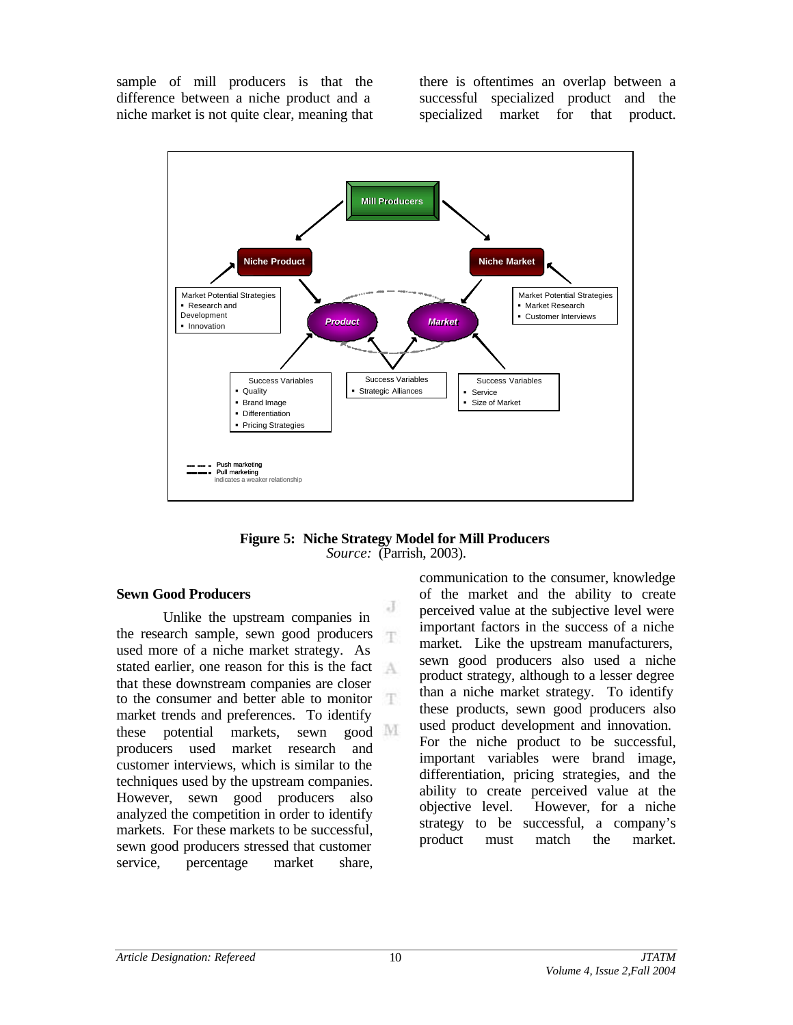sample of mill producers is that the difference between a niche product and a niche market is not quite clear, meaning that there is oftentimes an overlap between a successful specialized product and the specialized market for that product.





### **Sewn Good Producers**

Unlike the upstream companies in the research sample, sewn good producers used more of a niche market strategy. As stated earlier, one reason for this is the fact  $A$ that these downstream companies are closer to the consumer and better able to monitor 江 market trends and preferences. To identify these potential markets, sewn good producers used market research and customer interviews, which is similar to the techniques used by the upstream companies. However, sewn good producers also analyzed the competition in order to identify markets. For these markets to be successful, sewn good producers stressed that customer service, percentage market share,

communication to the consumer, knowledge of the market and the ability to create perceived value at the subjective level were important factors in the success of a niche market. Like the upstream manufacturers, sewn good producers also used a niche product strategy, although to a lesser degree than a niche market strategy. To identify these products, sewn good producers also used product development and innovation. For the niche product to be successful, important variables were brand image, differentiation, pricing strategies, and the ability to create perceived value at the objective level. However, for a niche strategy to be successful, a company's product must match the market.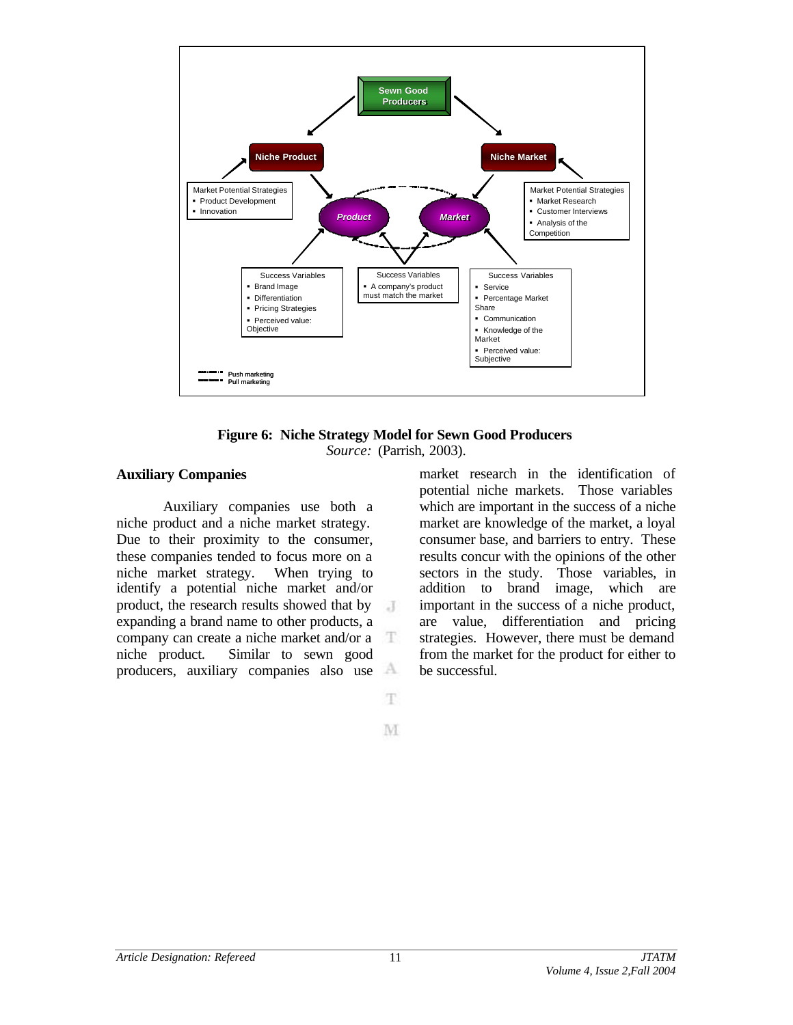

**Figure 6: Niche Strategy Model for Sewn Good Producers** *Source:* (Parrish, 2003).

#### **Auxiliary Companies**

Auxiliary companies use both a niche product and a niche market strategy. Due to their proximity to the consumer, these companies tended to focus more on a niche market strategy. When trying to identify a potential niche market and/or product, the research results showed that by  $\overline{A}$ expanding a brand name to other products, a company can create a niche market and/or a niche product. Similar to sewn good producers, auxiliary companies also use A

market research in the identification of potential niche markets. Those variables which are important in the success of a niche market are knowledge of the market, a loyal consumer base, and barriers to entry. These results concur with the opinions of the other sectors in the study. Those variables, in addition to brand image, which are important in the success of a niche product, are value, differentiation and pricing strategies. However, there must be demand from the market for the product for either to be successful.

M

T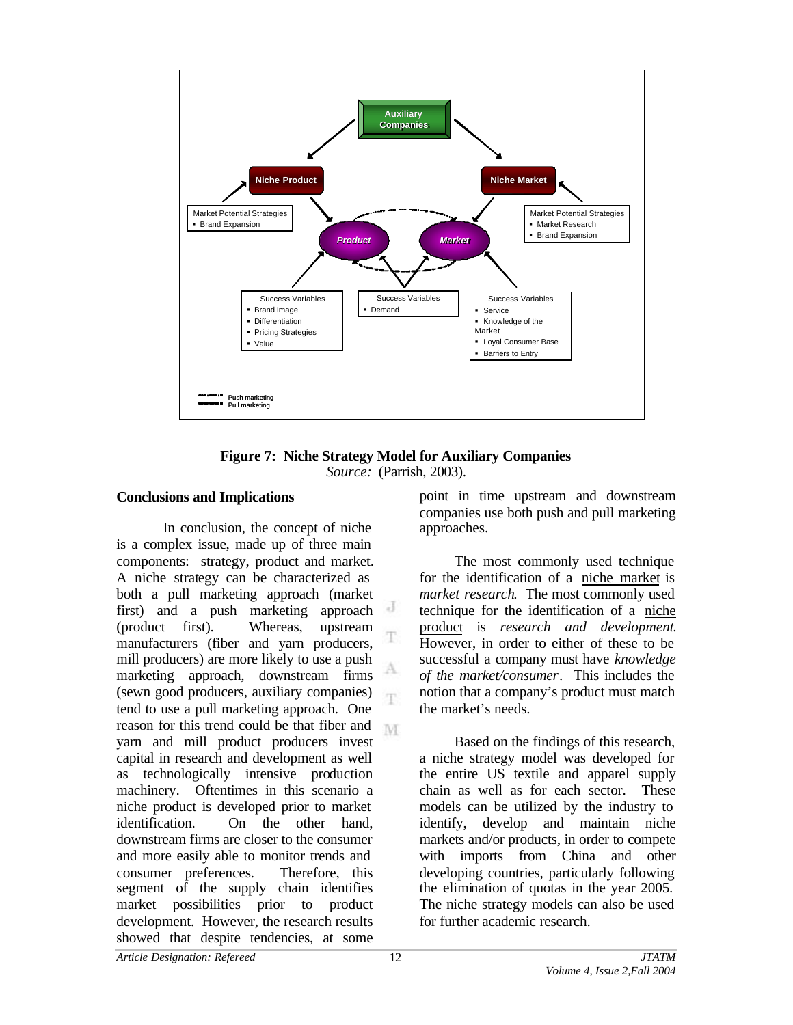



#### **Conclusions and Implications**

In conclusion, the concept of niche is a complex issue, made up of three main components: strategy, product and market. A niche strategy can be characterized as both a pull marketing approach (market first) and a push marketing approach (product first). Whereas, upstream manufacturers (fiber and yarn producers, mill producers) are more likely to use a push marketing approach, downstream firms (sewn good producers, auxiliary companies) T. tend to use a pull marketing approach. One reason for this trend could be that fiber and M. yarn and mill product producers invest capital in research and development as well as technologically intensive production machinery. Oftentimes in this scenario a niche product is developed prior to market identification. On the other hand, downstream firms are closer to the consumer and more easily able to monitor trends and consumer preferences. Therefore, this segment of the supply chain identifies market possibilities prior to product development. However, the research results showed that despite tendencies, at some

point in time upstream and downstream companies use both push and pull marketing approaches.

The most commonly used technique for the identification of a niche market is *market research*. The most commonly used technique for the identification of a niche product is *research and development*. However, in order to either of these to be successful a company must have *knowledge of the market/consumer*. This includes the notion that a company's product must match the market's needs.

Based on the findings of this research, a niche strategy model was developed for the entire US textile and apparel supply chain as well as for each sector. These models can be utilized by the industry to identify, develop and maintain niche markets and/or products, in order to compete with imports from China and other developing countries, particularly following the elimination of quotas in the year 2005. The niche strategy models can also be used for further academic research.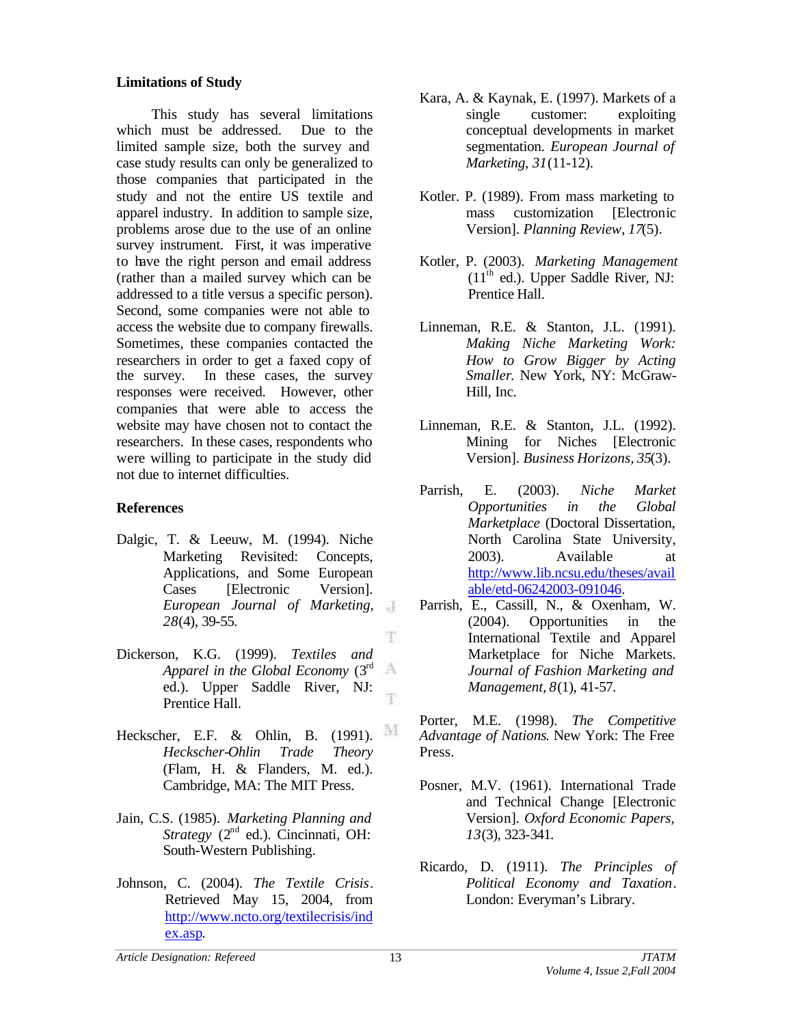### **Limitations of Study**

This study has several limitations which must be addressed. Due to the limited sample size, both the survey and case study results can only be generalized to those companies that participated in the study and not the entire US textile and apparel industry. In addition to sample size, problems arose due to the use of an online survey instrument. First, it was imperative to have the right person and email address (rather than a mailed survey which can be addressed to a title versus a specific person). Second, some companies were not able to access the website due to company firewalls. Sometimes, these companies contacted the researchers in order to get a faxed copy of the survey. In these cases, the survey responses were received. However, other companies that were able to access the website may have chosen not to contact the researchers. In these cases, respondents who were willing to participate in the study did not due to internet difficulties.

# **References**

- Dalgic, T. & Leeuw, M. (1994). Niche Marketing Revisited: Concepts, Applications, and Some European Cases [Electronic Version]. *European Journal of Marketing, 28*(4), 39-55.
- Dickerson, K.G. (1999). *Textiles and* A *Apparel in the Global Economy* (3rd ed.). Upper Saddle River, NJ: T. Prentice Hall.
- Heckscher, E.F. & Ohlin, B. (1991). M *Heckscher-Ohlin Trade Theory* (Flam, H. & Flanders, M. ed.). Cambridge, MA: The MIT Press.
- Jain, C.S. (1985). *Marketing Planning and Strategy* (2<sup>nd</sup> ed.). Cincinnati, OH: South-Western Publishing.
- Johnson, C. (2004). *The Textile Crisis*. Retrieved May 15, 2004, from <http://www.ncto.org/textilecrisis/ind> ex.asp.
- Kara, A. & Kaynak, E. (1997). Markets of a single customer: exploiting conceptual developments in market segmentation. *European Journal of Marketing, 31*(11-12).
- Kotler. P. (1989). From mass marketing to mass customization [Electronic Version]. *Planning Review, 17*(5).
- Kotler, P. (2003). *Marketing Management*  $(11<sup>th</sup>$  ed.). Upper Saddle River, NJ: Prentice Hall.
- Linneman, R.E. & Stanton, J.L. (1991). *Making Niche Marketing Work: How to Grow Bigger by Acting Smaller*. New York, NY: McGraw-Hill, Inc.
- Linneman, R.E. & Stanton, J.L. (1992). Mining for Niches [Electronic Version]. *Business Horizons, 35*(3).
- Parrish, E. (2003). *Niche Market Opportunities in the Global Marketplace* (Doctoral Dissertation, North Carolina State University, 2003). Available at <http://www.lib.ncsu.edu/theses/avail> able/etd-06242003-091046.
- Parrish, E., Cassill, N., & Oxenham, W. (2004). Opportunities in the International Textile and Apparel Marketplace for Niche Markets. *Journal of Fashion Marketing and Management, 8*(1), 41-57.

Porter, M.E. (1998). *The Competitive Advantage of Nations*. New York: The Free Press.

- Posner, M.V. (1961). International Trade and Technical Change [Electronic Version]. *Oxford Economic Papers, 13*(3), 323-341.
- Ricardo, D. (1911). *The Principles of Political Economy and Taxation*. London: Everyman's Library.

T.